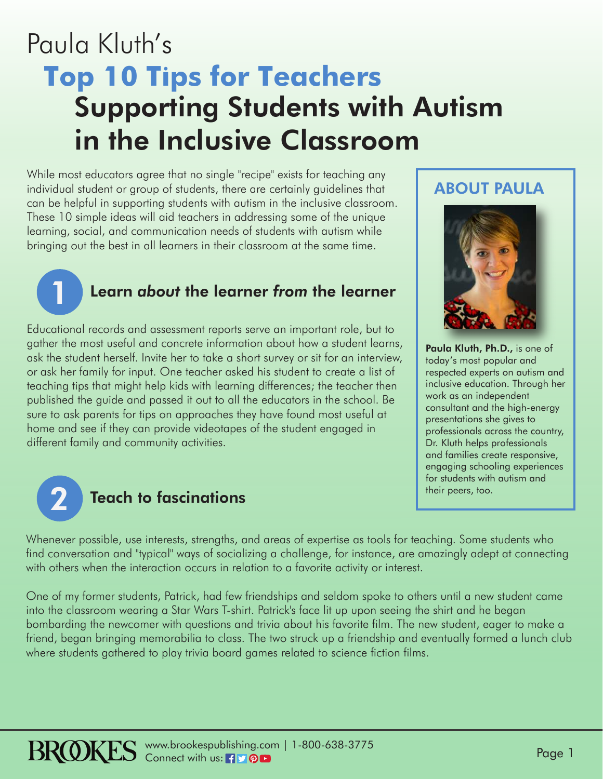# Paula Kluth's **Top 10 Tips for Teachers** Supporting Students with Autism in the Inclusive Classroom

While most educators agree that no single "recipe" exists for teaching any individual student or group of students, there are certainly guidelines that can be helpful in supporting students with autism in the inclusive classroom. These 10 simple ideas will aid teachers in addressing some of the unique learning, social, and communication needs of students with autism while bringing out the best in all learners in their classroom at the same time.

#### Learn *about* the learner *from* the learner

Educational records and assessment reports serve an important role, but to gather the most useful and concrete information about how a student learns, ask the student herself. Invite her to take a short survey or sit for an interview, or ask her family for input. One teacher asked his student to create a list of teaching tips that might help kids with learning differences; the teacher then published the guide and passed it out to all the educators in the school. Be sure to ask parents for tips on approaches they have found most useful at home and see if they can provide videotapes of the student engaged in different family and community activities.



1

#### Teach to fascinations

ABOUT PAULA



Paula Kluth, Ph.D., is one of today's most popular and respected experts on autism and inclusive education. Through her work as an independent consultant and the high-energy presentations she gives to professionals across the country, Dr. Kluth helps professionals and families create responsive, engaging schooling experiences for students with autism and their peers, too.

Whenever possible, use interests, strengths, and areas of expertise as tools for teaching. Some students who find conversation and "typical" ways of socializing a challenge, for instance, are amazingly adept at connecting with others when the interaction occurs in relation to a favorite activity or interest.

One of my former students, Patrick, had few friendships and seldom spoke to others until a new student came into the classroom wearing a Star Wars T-shirt. Patrick's face lit up upon seeing the shirt and he began bombarding the newcomer with questions and trivia about his favorite film. The new student, eager to make a friend, began bringing memorabilia to class. The two struck up a friendship and eventually formed a lunch club where students gathered to play trivia board games related to science fiction films.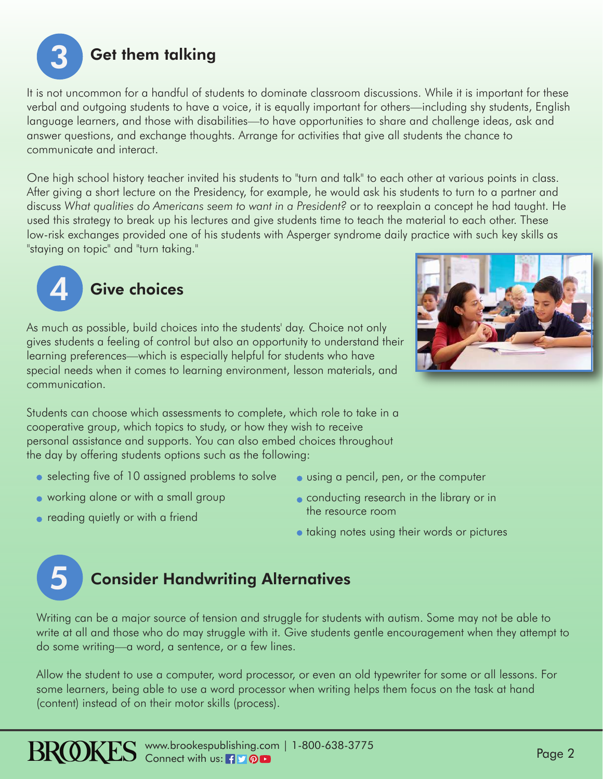

It is not uncommon for a handful of students to dominate classroom discussions. While it is important for these verbal and outgoing students to have a voice, it is equally important for others—including shy students, English language learners, and those with disabilities—to have opportunities to share and challenge ideas, ask and answer questions, and exchange thoughts. Arrange for activities that give all students the chance to communicate and interact.

One high school history teacher invited his students to "turn and talk" to each other at various points in class. After giving a short lecture on the Presidency, for example, he would ask his students to turn to a partner and discuss *What qualities do Americans seem to want in a President?* or to reexplain a concept he had taught. He used this strategy to break up his lectures and give students time to teach the material to each other. These low-risk exchanges provided one of his students with Asperger syndrome daily practice with such key skills as "staying on topic" and "turn taking."





As much as possible, build choices into the students' day. Choice not only gives students a feeling of control but also an opportunity to understand their learning preferences—which is especially helpful for students who have special needs when it comes to learning environment, lesson materials, and communication.

Students can choose which assessments to complete, which role to take in a cooperative group, which topics to study, or how they wish to receive personal assistance and supports. You can also embed choices throughout the day by offering students options such as the following:

- selecting five of 10 assigned problems to solve
- working alone or with a small group
- **•** reading quietly or with a friend
- using a pencil, pen, or the computer
- **conducting research in the library or in** the resource room
- **•** taking notes using their words or pictures

## Consider Handwriting Alternatives 5

Writing can be a major source of tension and struggle for students with autism. Some may not be able to write at all and those who do may struggle with it. Give students gentle encouragement when they attempt to do some writing—a word, a sentence, or a few lines.

Allow the student to use a computer, word processor, or even an old typewriter for some or all lessons. For some learners, being able to use a word processor when writing helps them focus on the task at hand (content) instead of on their motor skills (process).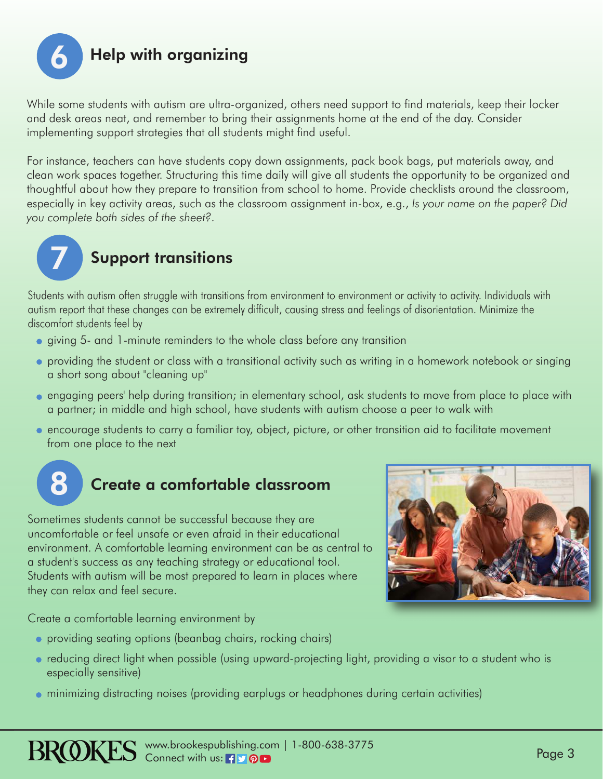

While some students with autism are ultra-organized, others need support to find materials, keep their locker and desk areas neat, and remember to bring their assignments home at the end of the day. Consider implementing support strategies that all students might find useful.

For instance, teachers can have students copy down assignments, pack book bags, put materials away, and clean work spaces together. Structuring this time daily will give all students the opportunity to be organized and thoughtful about how they prepare to transition from school to home. Provide checklists around the classroom, especially in key activity areas, such as the classroom assignment in-box, e.g., *Is your name on the paper? Did you complete both sides of the sheet?*.



### Support transitions

Students with autism often struggle with transitions from environment to environment or activity to activity. Individuals with autism report that these changes can be extremely difficult, causing stress and feelings of disorientation. Minimize the discomfort students feel by

- giving 5- and 1-minute reminders to the whole class before any transition
- providing the student or class with a transitional activity such as writing in a homework notebook or singing a short song about "cleaning up"
- engaging peers' help during transition; in elementary school, ask students to move from place to place with a partner; in middle and high school, have students with autism choose a peer to walk with
- encourage students to carry a familiar toy, object, picture, or other transition aid to facilitate movement from one place to the next

# Create a comfortable classroom

Sometimes students cannot be successful because they are uncomfortable or feel unsafe or even afraid in their educational environment. A comfortable learning environment can be as central to a student's success as any teaching strategy or educational tool. Students with autism will be most prepared to learn in places where they can relax and feel secure.

Create a comfortable learning environment by

- providing seating options (beanbag chairs, rocking chairs)
- reducing direct light when possible (using upward-projecting light, providing a visor to a student who is especially sensitive)
- minimizing distracting noises (providing earplugs or headphones during certain activities)